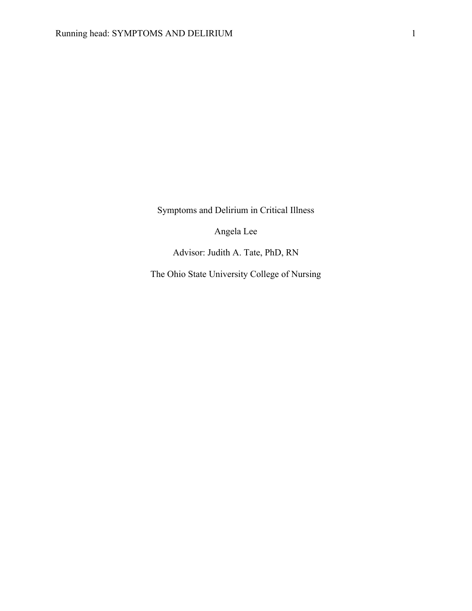Symptoms and Delirium in Critical Illness

Angela Lee

Advisor: Judith A. Tate, PhD, RN

The Ohio State University College of Nursing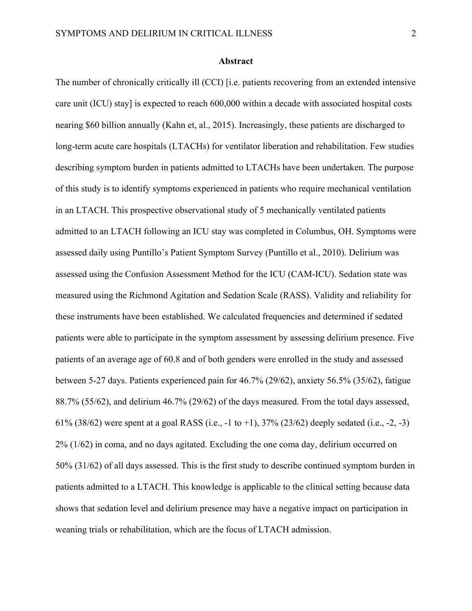#### **Abstract**

The number of chronically critically ill (CCI) [i.e. patients recovering from an extended intensive care unit (ICU) stay] is expected to reach 600,000 within a decade with associated hospital costs nearing \$60 billion annually (Kahn et, al., 2015). Increasingly, these patients are discharged to long-term acute care hospitals (LTACHs) for ventilator liberation and rehabilitation. Few studies describing symptom burden in patients admitted to LTACHs have been undertaken. The purpose of this study is to identify symptoms experienced in patients who require mechanical ventilation in an LTACH. This prospective observational study of 5 mechanically ventilated patients admitted to an LTACH following an ICU stay was completed in Columbus, OH. Symptoms were assessed daily using Puntillo's Patient Symptom Survey (Puntillo et al., 2010). Delirium was assessed using the Confusion Assessment Method for the ICU (CAM-ICU). Sedation state was measured using the Richmond Agitation and Sedation Scale (RASS). Validity and reliability for these instruments have been established. We calculated frequencies and determined if sedated patients were able to participate in the symptom assessment by assessing delirium presence. Five patients of an average age of 60.8 and of both genders were enrolled in the study and assessed between 5-27 days. Patients experienced pain for 46.7% (29/62), anxiety 56.5% (35/62), fatigue 88.7% (55/62), and delirium 46.7% (29/62) of the days measured. From the total days assessed, 61% (38/62) were spent at a goal RASS (i.e., -1 to +1), 37% (23/62) deeply sedated (i.e., -2, -3) 2% (1/62) in coma, and no days agitated. Excluding the one coma day, delirium occurred on 50% (31/62) of all days assessed. This is the first study to describe continued symptom burden in patients admitted to a LTACH. This knowledge is applicable to the clinical setting because data shows that sedation level and delirium presence may have a negative impact on participation in weaning trials or rehabilitation, which are the focus of LTACH admission.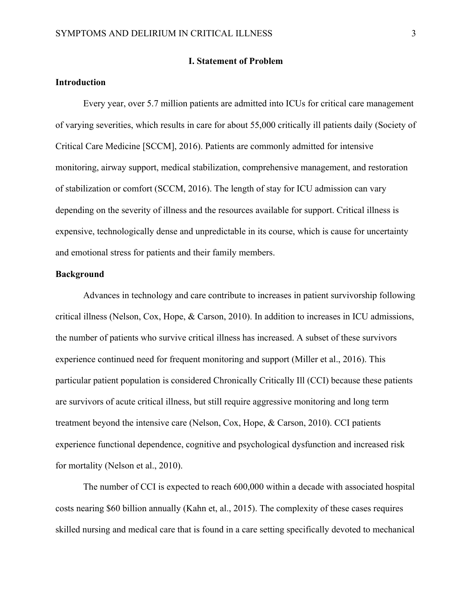#### **I. Statement of Problem**

## **Introduction**

Every year, over 5.7 million patients are admitted into ICUs for critical care management of varying severities, which results in care for about 55,000 critically ill patients daily (Society of Critical Care Medicine [SCCM], 2016). Patients are commonly admitted for intensive monitoring, airway support, medical stabilization, comprehensive management, and restoration of stabilization or comfort (SCCM, 2016). The length of stay for ICU admission can vary depending on the severity of illness and the resources available for support. Critical illness is expensive, technologically dense and unpredictable in its course, which is cause for uncertainty and emotional stress for patients and their family members.

## **Background**

Advances in technology and care contribute to increases in patient survivorship following critical illness (Nelson, Cox, Hope, & Carson, 2010). In addition to increases in ICU admissions, the number of patients who survive critical illness has increased. A subset of these survivors experience continued need for frequent monitoring and support (Miller et al., 2016). This particular patient population is considered Chronically Critically Ill (CCI) because these patients are survivors of acute critical illness, but still require aggressive monitoring and long term treatment beyond the intensive care (Nelson, Cox, Hope, & Carson, 2010). CCI patients experience functional dependence, cognitive and psychological dysfunction and increased risk for mortality (Nelson et al., 2010).

The number of CCI is expected to reach 600,000 within a decade with associated hospital costs nearing \$60 billion annually (Kahn et, al., 2015). The complexity of these cases requires skilled nursing and medical care that is found in a care setting specifically devoted to mechanical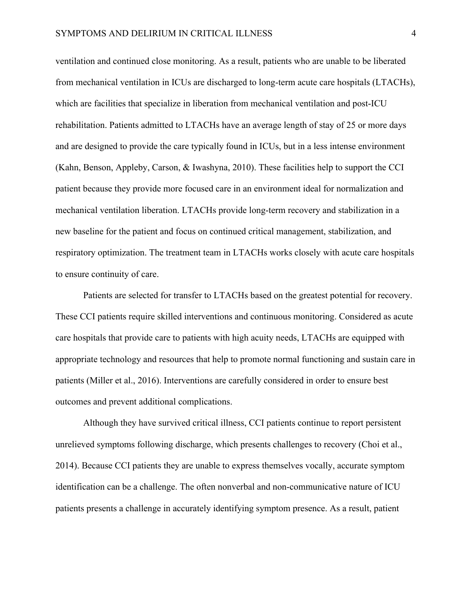ventilation and continued close monitoring. As a result, patients who are unable to be liberated from mechanical ventilation in ICUs are discharged to long-term acute care hospitals (LTACHs), which are facilities that specialize in liberation from mechanical ventilation and post-ICU rehabilitation. Patients admitted to LTACHs have an average length of stay of 25 or more days and are designed to provide the care typically found in ICUs, but in a less intense environment (Kahn, Benson, Appleby, Carson, & Iwashyna, 2010). These facilities help to support the CCI patient because they provide more focused care in an environment ideal for normalization and mechanical ventilation liberation. LTACHs provide long-term recovery and stabilization in a new baseline for the patient and focus on continued critical management, stabilization, and respiratory optimization. The treatment team in LTACHs works closely with acute care hospitals to ensure continuity of care.

Patients are selected for transfer to LTACHs based on the greatest potential for recovery. These CCI patients require skilled interventions and continuous monitoring. Considered as acute care hospitals that provide care to patients with high acuity needs, LTACHs are equipped with appropriate technology and resources that help to promote normal functioning and sustain care in patients (Miller et al., 2016). Interventions are carefully considered in order to ensure best outcomes and prevent additional complications.

Although they have survived critical illness, CCI patients continue to report persistent unrelieved symptoms following discharge, which presents challenges to recovery (Choi et al., 2014). Because CCI patients they are unable to express themselves vocally, accurate symptom identification can be a challenge. The often nonverbal and non-communicative nature of ICU patients presents a challenge in accurately identifying symptom presence. As a result, patient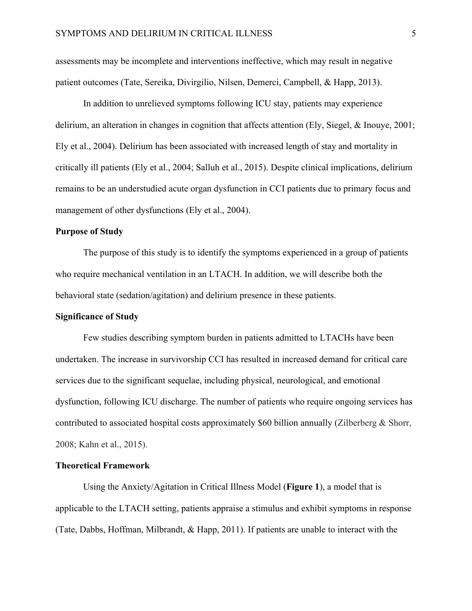assessments may be incomplete and interventions ineffective, which may result in negative patient outcomes (Tate, Sereika, Divirgilio, Nilsen, Demerci, Campbell, & Happ, 2013).

In addition to unrelieved symptoms following ICU stay, patients may experience delirium, an alteration in changes in cognition that affects attention (Ely, Siegel, & Inouye, 2001; Ely et al., 2004). Delirium has been associated with increased length of stay and mortality in critically ill patients (Ely et al., 2004; Salluh et al., 2015). Despite clinical implications, delirium remains to be an understudied acute organ dysfunction in CCI patients due to primary focus and management of other dysfunctions (Ely et al., 2004).

## **Purpose of Study**

The purpose of this study is to identify the symptoms experienced in a group of patients who require mechanical ventilation in an LTACH. In addition, we will describe both the behavioral state (sedation/agitation) and delirium presence in these patients.

## **Significance of Study**

Few studies describing symptom burden in patients admitted to LTACHs have been undertaken. The increase in survivorship CCI has resulted in increased demand for critical care services due to the significant sequelae, including physical, neurological, and emotional dysfunction, following ICU discharge. The number of patients who require ongoing services has contributed to associated hospital costs approximately \$60 billion annually (Zilberberg & Shorr, 2008; Kahn et al., 2015).

#### **Theoretical Framework**

Using the Anxiety/Agitation in Critical Illness Model (**Figure 1**), a model that is applicable to the LTACH setting, patients appraise a stimulus and exhibit symptoms in response (Tate, Dabbs, Hoffman, Milbrandt, & Happ, 2011). If patients are unable to interact with the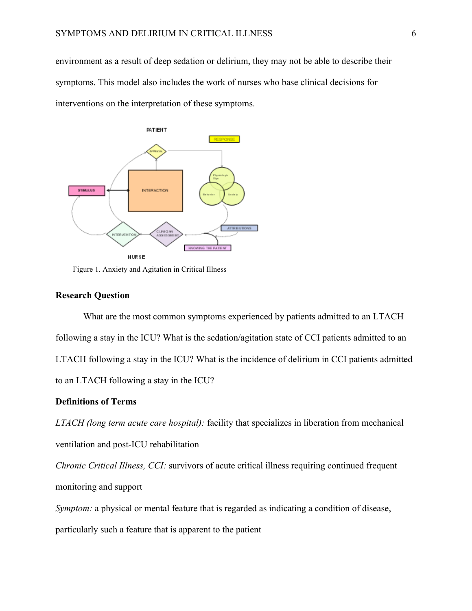environment as a result of deep sedation or delirium, they may not be able to describe their symptoms. This model also includes the work of nurses who base clinical decisions for interventions on the interpretation of these symptoms.



Figure 1. Anxiety and Agitation in Critical Illness

#### **Research Question**

What are the most common symptoms experienced by patients admitted to an LTACH following a stay in the ICU? What is the sedation/agitation state of CCI patients admitted to an LTACH following a stay in the ICU? What is the incidence of delirium in CCI patients admitted to an LTACH following a stay in the ICU?

## **Definitions of Terms**

*LTACH (long term acute care hospital):* facility that specializes in liberation from mechanical ventilation and post-ICU rehabilitation

*Chronic Critical Illness, CCI:* survivors of acute critical illness requiring continued frequent monitoring and support

*Symptom:* a physical or mental feature that is regarded as indicating a condition of disease, particularly such a feature that is apparent to the patient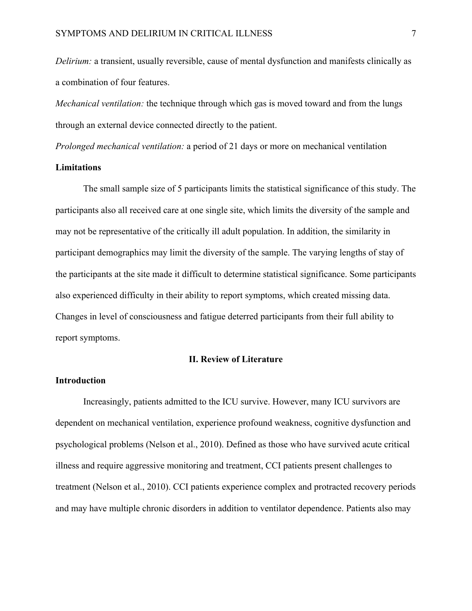*Delirium:* a transient, usually reversible, cause of mental dysfunction and manifests clinically as a combination of four features.

*Mechanical ventilation:* the technique through which gas is moved toward and from the lungs through an external device connected directly to the patient.

*Prolonged mechanical ventilation:* a period of 21 days or more on mechanical ventilation

# **Limitations**

The small sample size of 5 participants limits the statistical significance of this study. The participants also all received care at one single site, which limits the diversity of the sample and may not be representative of the critically ill adult population. In addition, the similarity in participant demographics may limit the diversity of the sample. The varying lengths of stay of the participants at the site made it difficult to determine statistical significance. Some participants also experienced difficulty in their ability to report symptoms, which created missing data. Changes in level of consciousness and fatigue deterred participants from their full ability to report symptoms.

#### **II. Review of Literature**

## **Introduction**

Increasingly, patients admitted to the ICU survive. However, many ICU survivors are dependent on mechanical ventilation, experience profound weakness, cognitive dysfunction and psychological problems (Nelson et al., 2010). Defined as those who have survived acute critical illness and require aggressive monitoring and treatment, CCI patients present challenges to treatment (Nelson et al., 2010). CCI patients experience complex and protracted recovery periods and may have multiple chronic disorders in addition to ventilator dependence. Patients also may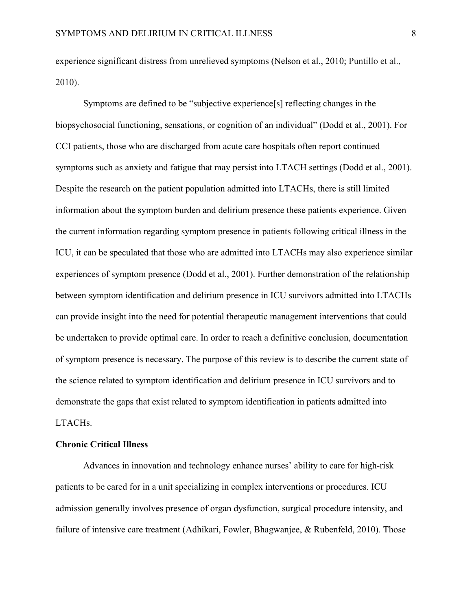experience significant distress from unrelieved symptoms (Nelson et al., 2010; Puntillo et al., 2010).

Symptoms are defined to be "subjective experience[s] reflecting changes in the biopsychosocial functioning, sensations, or cognition of an individual" (Dodd et al., 2001). For CCI patients, those who are discharged from acute care hospitals often report continued symptoms such as anxiety and fatigue that may persist into LTACH settings (Dodd et al., 2001). Despite the research on the patient population admitted into LTACHs, there is still limited information about the symptom burden and delirium presence these patients experience. Given the current information regarding symptom presence in patients following critical illness in the ICU, it can be speculated that those who are admitted into LTACHs may also experience similar experiences of symptom presence (Dodd et al., 2001). Further demonstration of the relationship between symptom identification and delirium presence in ICU survivors admitted into LTACHs can provide insight into the need for potential therapeutic management interventions that could be undertaken to provide optimal care. In order to reach a definitive conclusion, documentation of symptom presence is necessary. The purpose of this review is to describe the current state of the science related to symptom identification and delirium presence in ICU survivors and to demonstrate the gaps that exist related to symptom identification in patients admitted into LTACHs.

#### **Chronic Critical Illness**

Advances in innovation and technology enhance nurses' ability to care for high-risk patients to be cared for in a unit specializing in complex interventions or procedures. ICU admission generally involves presence of organ dysfunction, surgical procedure intensity, and failure of intensive care treatment (Adhikari, Fowler, Bhagwanjee, & Rubenfeld, 2010). Those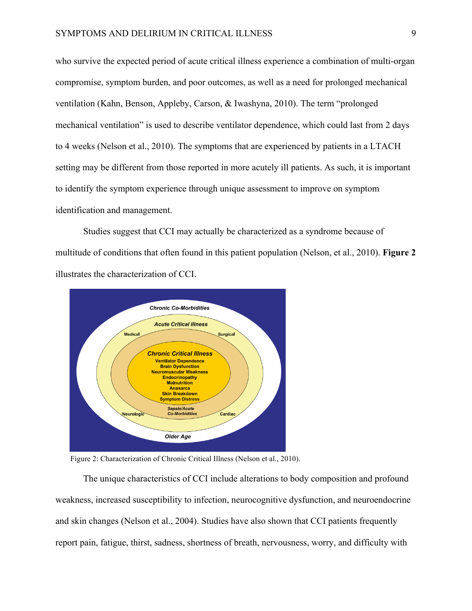who survive the expected period of acute critical illness experience a combination of multi-organ compromise, symptom burden, and poor outcomes, as well as a need for prolonged mechanical ventilation (Kahn, Benson, Appleby, Carson, & Iwashyna, 2010). The term "prolonged mechanical ventilation" is used to describe ventilator dependence, which could last from 2 days to 4 weeks (Nelson et al., 2010). The symptoms that are experienced by patients in a LTACH setting may be different from those reported in more acutely ill patients. As such, it is important to identify the symptom experience through unique assessment to improve on symptom identification and management.

Studies suggest that CCI may actually be characterized as a syndrome because of multitude of conditions that often found in this patient population (Nelson, et al., 2010). **Figure 2** illustrates the characterization of CCI.



Figure 2: Characterization of Chronic Critical Illness (Nelson et al., 2010).

The unique characteristics of CCI include alterations to body composition and profound weakness, increased susceptibility to infection, neurocognitive dysfunction, and neuroendocrine and skin changes (Nelson et al., 2004). Studies have also shown that CCI patients frequently report pain, fatigue, thirst, sadness, shortness of breath, nervousness, worry, and difficulty with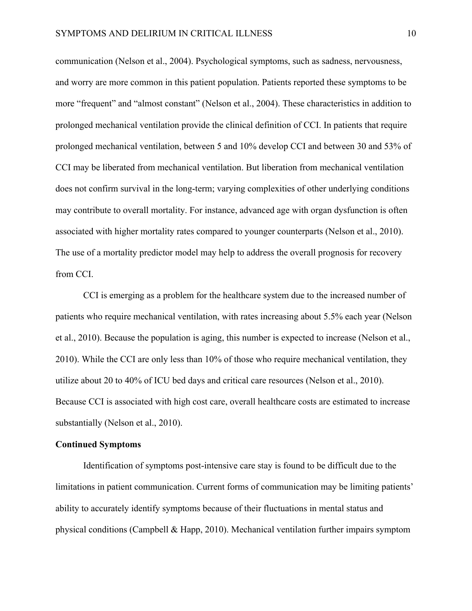communication (Nelson et al., 2004). Psychological symptoms, such as sadness, nervousness, and worry are more common in this patient population. Patients reported these symptoms to be more "frequent" and "almost constant" (Nelson et al., 2004). These characteristics in addition to prolonged mechanical ventilation provide the clinical definition of CCI. In patients that require prolonged mechanical ventilation, between 5 and 10% develop CCI and between 30 and 53% of CCI may be liberated from mechanical ventilation. But liberation from mechanical ventilation does not confirm survival in the long-term; varying complexities of other underlying conditions may contribute to overall mortality. For instance, advanced age with organ dysfunction is often associated with higher mortality rates compared to younger counterparts (Nelson et al., 2010). The use of a mortality predictor model may help to address the overall prognosis for recovery from CCI.

CCI is emerging as a problem for the healthcare system due to the increased number of patients who require mechanical ventilation, with rates increasing about 5.5% each year (Nelson et al., 2010). Because the population is aging, this number is expected to increase (Nelson et al., 2010). While the CCI are only less than 10% of those who require mechanical ventilation, they utilize about 20 to 40% of ICU bed days and critical care resources (Nelson et al., 2010). Because CCI is associated with high cost care, overall healthcare costs are estimated to increase substantially (Nelson et al., 2010).

#### **Continued Symptoms**

Identification of symptoms post-intensive care stay is found to be difficult due to the limitations in patient communication. Current forms of communication may be limiting patients' ability to accurately identify symptoms because of their fluctuations in mental status and physical conditions (Campbell & Happ, 2010). Mechanical ventilation further impairs symptom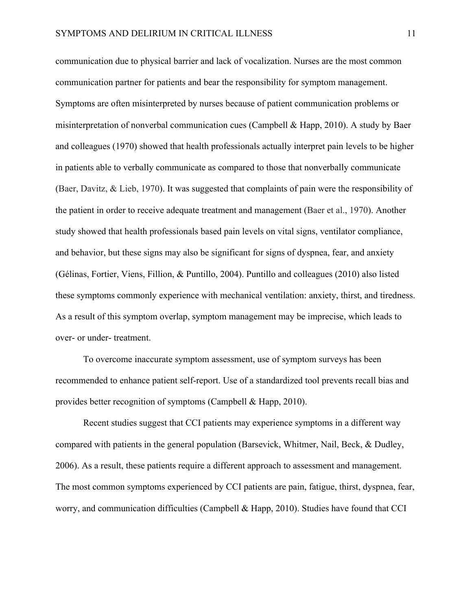communication due to physical barrier and lack of vocalization. Nurses are the most common communication partner for patients and bear the responsibility for symptom management. Symptoms are often misinterpreted by nurses because of patient communication problems or misinterpretation of nonverbal communication cues (Campbell & Happ, 2010). A study by Baer and colleagues (1970) showed that health professionals actually interpret pain levels to be higher in patients able to verbally communicate as compared to those that nonverbally communicate (Baer, Davitz, & Lieb, 1970). It was suggested that complaints of pain were the responsibility of the patient in order to receive adequate treatment and management (Baer et al., 1970). Another study showed that health professionals based pain levels on vital signs, ventilator compliance, and behavior, but these signs may also be significant for signs of dyspnea, fear, and anxiety (Gélinas, Fortier, Viens, Fillion, & Puntillo, 2004). Puntillo and colleagues (2010) also listed these symptoms commonly experience with mechanical ventilation: anxiety, thirst, and tiredness. As a result of this symptom overlap, symptom management may be imprecise, which leads to over- or under- treatment.

To overcome inaccurate symptom assessment, use of symptom surveys has been recommended to enhance patient self-report. Use of a standardized tool prevents recall bias and provides better recognition of symptoms (Campbell & Happ, 2010).

Recent studies suggest that CCI patients may experience symptoms in a different way compared with patients in the general population (Barsevick, Whitmer, Nail, Beck, & Dudley, 2006). As a result, these patients require a different approach to assessment and management. The most common symptoms experienced by CCI patients are pain, fatigue, thirst, dyspnea, fear, worry, and communication difficulties (Campbell & Happ, 2010). Studies have found that CCI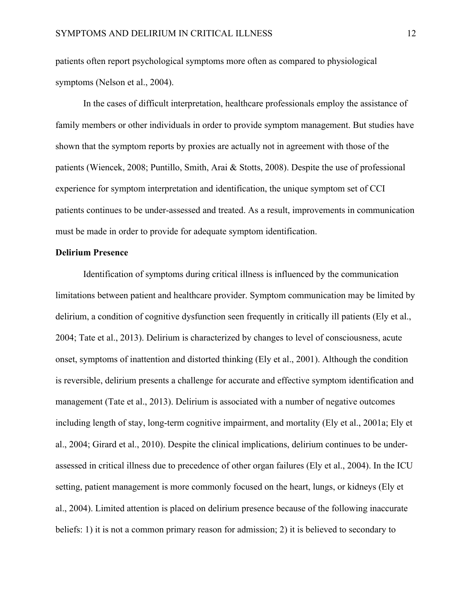patients often report psychological symptoms more often as compared to physiological symptoms (Nelson et al., 2004).

In the cases of difficult interpretation, healthcare professionals employ the assistance of family members or other individuals in order to provide symptom management. But studies have shown that the symptom reports by proxies are actually not in agreement with those of the patients (Wiencek, 2008; Puntillo, Smith, Arai & Stotts, 2008). Despite the use of professional experience for symptom interpretation and identification, the unique symptom set of CCI patients continues to be under-assessed and treated. As a result, improvements in communication must be made in order to provide for adequate symptom identification.

## **Delirium Presence**

Identification of symptoms during critical illness is influenced by the communication limitations between patient and healthcare provider. Symptom communication may be limited by delirium, a condition of cognitive dysfunction seen frequently in critically ill patients (Ely et al., 2004; Tate et al., 2013). Delirium is characterized by changes to level of consciousness, acute onset, symptoms of inattention and distorted thinking (Ely et al., 2001). Although the condition is reversible, delirium presents a challenge for accurate and effective symptom identification and management (Tate et al., 2013). Delirium is associated with a number of negative outcomes including length of stay, long-term cognitive impairment, and mortality (Ely et al., 2001a; Ely et al., 2004; Girard et al., 2010). Despite the clinical implications, delirium continues to be underassessed in critical illness due to precedence of other organ failures (Ely et al., 2004). In the ICU setting, patient management is more commonly focused on the heart, lungs, or kidneys (Ely et al., 2004). Limited attention is placed on delirium presence because of the following inaccurate beliefs: 1) it is not a common primary reason for admission; 2) it is believed to secondary to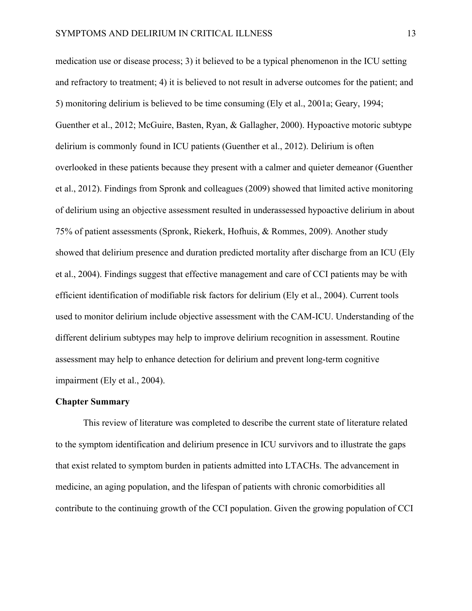medication use or disease process; 3) it believed to be a typical phenomenon in the ICU setting and refractory to treatment; 4) it is believed to not result in adverse outcomes for the patient; and 5) monitoring delirium is believed to be time consuming (Ely et al., 2001a; Geary, 1994; Guenther et al., 2012; McGuire, Basten, Ryan, & Gallagher, 2000). Hypoactive motoric subtype delirium is commonly found in ICU patients (Guenther et al., 2012). Delirium is often overlooked in these patients because they present with a calmer and quieter demeanor (Guenther et al., 2012). Findings from Spronk and colleagues (2009) showed that limited active monitoring of delirium using an objective assessment resulted in underassessed hypoactive delirium in about 75% of patient assessments (Spronk, Riekerk, Hofhuis, & Rommes, 2009). Another study showed that delirium presence and duration predicted mortality after discharge from an ICU (Ely et al., 2004). Findings suggest that effective management and care of CCI patients may be with efficient identification of modifiable risk factors for delirium (Ely et al., 2004). Current tools used to monitor delirium include objective assessment with the CAM-ICU. Understanding of the different delirium subtypes may help to improve delirium recognition in assessment. Routine assessment may help to enhance detection for delirium and prevent long-term cognitive impairment (Ely et al., 2004).

## **Chapter Summary**

This review of literature was completed to describe the current state of literature related to the symptom identification and delirium presence in ICU survivors and to illustrate the gaps that exist related to symptom burden in patients admitted into LTACHs. The advancement in medicine, an aging population, and the lifespan of patients with chronic comorbidities all contribute to the continuing growth of the CCI population. Given the growing population of CCI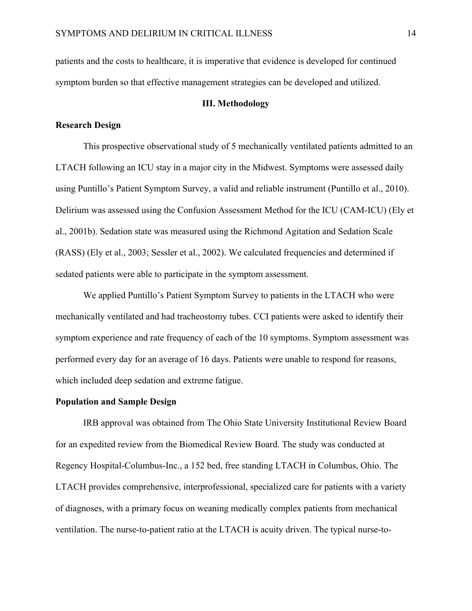patients and the costs to healthcare, it is imperative that evidence is developed for continued symptom burden so that effective management strategies can be developed and utilized.

## **III. Methodology**

## **Research Design**

This prospective observational study of 5 mechanically ventilated patients admitted to an LTACH following an ICU stay in a major city in the Midwest. Symptoms were assessed daily using Puntillo's Patient Symptom Survey, a valid and reliable instrument (Puntillo et al., 2010). Delirium was assessed using the Confusion Assessment Method for the ICU (CAM-ICU) (Ely et al., 2001b). Sedation state was measured using the Richmond Agitation and Sedation Scale (RASS) (Ely et al., 2003; Sessler et al., 2002). We calculated frequencies and determined if sedated patients were able to participate in the symptom assessment.

We applied Puntillo's Patient Symptom Survey to patients in the LTACH who were mechanically ventilated and had tracheostomy tubes. CCI patients were asked to identify their symptom experience and rate frequency of each of the 10 symptoms. Symptom assessment was performed every day for an average of 16 days. Patients were unable to respond for reasons, which included deep sedation and extreme fatigue.

## **Population and Sample Design**

IRB approval was obtained from The Ohio State University Institutional Review Board for an expedited review from the Biomedical Review Board. The study was conducted at Regency Hospital-Columbus-Inc., a 152 bed, free standing LTACH in Columbus, Ohio. The LTACH provides comprehensive, interprofessional, specialized care for patients with a variety of diagnoses, with a primary focus on weaning medically complex patients from mechanical ventilation. The nurse-to-patient ratio at the LTACH is acuity driven. The typical nurse-to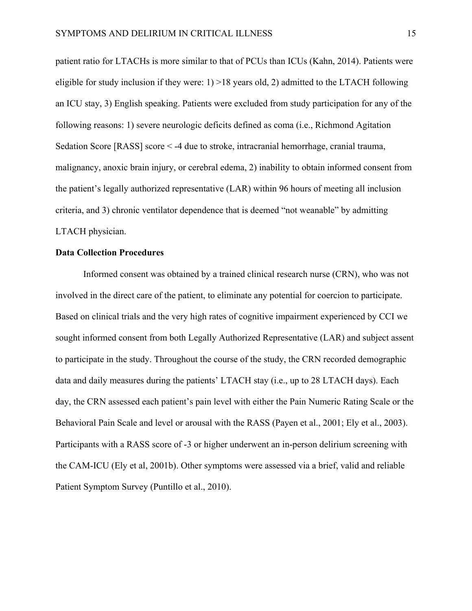patient ratio for LTACHs is more similar to that of PCUs than ICUs (Kahn, 2014). Patients were eligible for study inclusion if they were:  $1$ ) >18 years old, 2) admitted to the LTACH following an ICU stay, 3) English speaking. Patients were excluded from study participation for any of the following reasons: 1) severe neurologic deficits defined as coma (i.e., Richmond Agitation Sedation Score [RASS] score < -4 due to stroke, intracranial hemorrhage, cranial trauma, malignancy, anoxic brain injury, or cerebral edema, 2) inability to obtain informed consent from the patient's legally authorized representative (LAR) within 96 hours of meeting all inclusion criteria, and 3) chronic ventilator dependence that is deemed "not weanable" by admitting LTACH physician.

## **Data Collection Procedures**

Informed consent was obtained by a trained clinical research nurse (CRN), who was not involved in the direct care of the patient, to eliminate any potential for coercion to participate. Based on clinical trials and the very high rates of cognitive impairment experienced by CCI we sought informed consent from both Legally Authorized Representative (LAR) and subject assent to participate in the study. Throughout the course of the study, the CRN recorded demographic data and daily measures during the patients' LTACH stay (i.e., up to 28 LTACH days). Each day, the CRN assessed each patient's pain level with either the Pain Numeric Rating Scale or the Behavioral Pain Scale and level or arousal with the RASS (Payen et al., 2001; Ely et al., 2003). Participants with a RASS score of -3 or higher underwent an in-person delirium screening with the CAM-ICU (Ely et al, 2001b). Other symptoms were assessed via a brief, valid and reliable Patient Symptom Survey (Puntillo et al., 2010).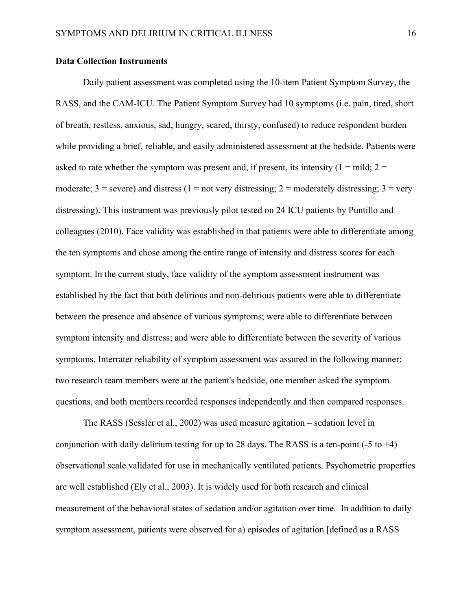## **Data Collection Instruments**

Daily patient assessment was completed using the 10-item Patient Symptom Survey, the RASS, and the CAM-ICU. The Patient Symptom Survey had 10 symptoms (i.e. pain, tired, short of breath, restless, anxious, sad, hungry, scared, thirsty, confused) to reduce respondent burden while providing a brief, reliable, and easily administered assessment at the bedside. Patients were asked to rate whether the symptom was present and, if present, its intensity  $(1 = \text{mild}; 2 =$ moderate;  $3 =$  severe) and distress (1 = not very distressing; 2 = moderately distressing; 3 = very distressing). This instrument was previously pilot tested on 24 ICU patients by Puntillo and colleagues (2010). Face validity was established in that patients were able to differentiate among the ten symptoms and chose among the entire range of intensity and distress scores for each symptom. In the current study, face validity of the symptom assessment instrument was established by the fact that both delirious and non-delirious patients were able to differentiate between the presence and absence of various symptoms; were able to differentiate between symptom intensity and distress; and were able to differentiate between the severity of various symptoms. Interrater reliability of symptom assessment was assured in the following manner: two research team members were at the patient's bedside, one member asked the symptom questions, and both members recorded responses independently and then compared responses.

The RASS (Sessler et al., 2002) was used measure agitation – sedation level in conjunction with daily delirium testing for up to 28 days. The RASS is a ten-point  $(-5 \text{ to } +4)$ observational scale validated for use in mechanically ventilated patients. Psychometric properties are well established (Ely et al., 2003). It is widely used for both research and clinical measurement of the behavioral states of sedation and/or agitation over time. In addition to daily symptom assessment, patients were observed for a) episodes of agitation [defined as a RASS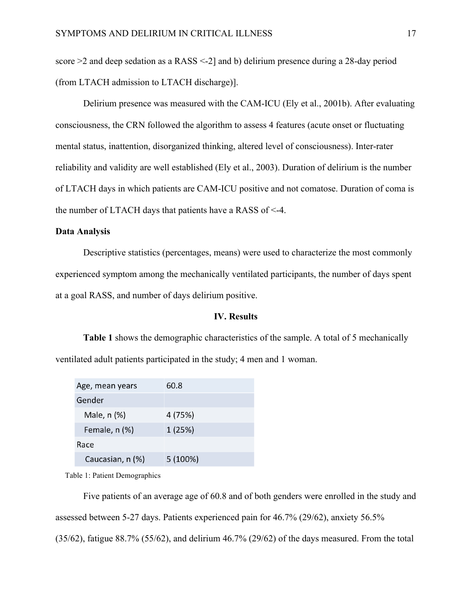score >2 and deep sedation as a RASS <-2] and b) delirium presence during a 28-day period (from LTACH admission to LTACH discharge)].

Delirium presence was measured with the CAM-ICU (Ely et al., 2001b). After evaluating consciousness, the CRN followed the algorithm to assess 4 features (acute onset or fluctuating mental status, inattention, disorganized thinking, altered level of consciousness). Inter-rater reliability and validity are well established (Ely et al., 2003). Duration of delirium is the number of LTACH days in which patients are CAM-ICU positive and not comatose. Duration of coma is the number of LTACH days that patients have a RASS of <-4.

## **Data Analysis**

Descriptive statistics (percentages, means) were used to characterize the most commonly experienced symptom among the mechanically ventilated participants, the number of days spent at a goal RASS, and number of days delirium positive.

## **IV. Results**

**Table 1** shows the demographic characteristics of the sample. A total of 5 mechanically ventilated adult patients participated in the study; 4 men and 1 woman.

| Age, mean years  | 60.8     |
|------------------|----------|
| Gender           |          |
| Male, n (%)      | 4 (75%)  |
| Female, n (%)    | 1(25%)   |
| Race             |          |
| Caucasian, n (%) | 5 (100%) |

Table 1: Patient Demographics

Five patients of an average age of 60.8 and of both genders were enrolled in the study and assessed between 5-27 days. Patients experienced pain for 46.7% (29/62), anxiety 56.5% (35/62), fatigue 88.7% (55/62), and delirium 46.7% (29/62) of the days measured. From the total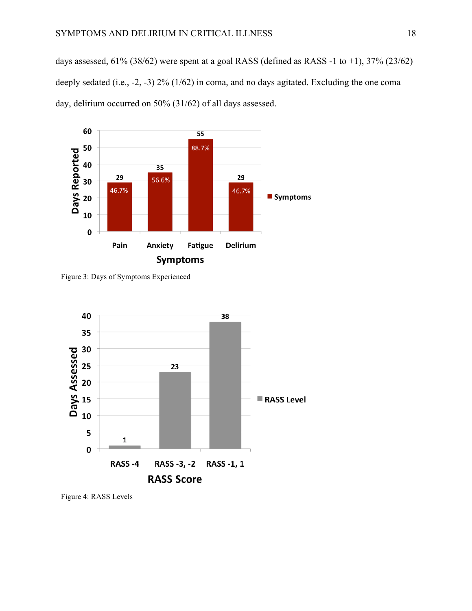days assessed,  $61\%$  (38/62) were spent at a goal RASS (defined as RASS -1 to +1), 37% (23/62) deeply sedated (i.e., -2, -3) 2% (1/62) in coma, and no days agitated. Excluding the one coma day, delirium occurred on 50% (31/62) of all days assessed.



Figure 3: Days of Symptoms Experienced



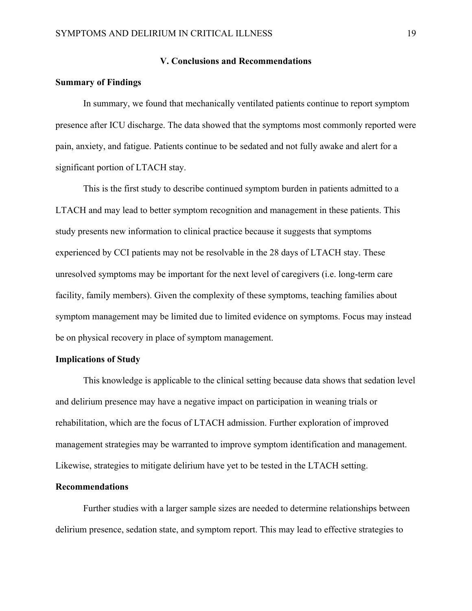#### **V. Conclusions and Recommendations**

## **Summary of Findings**

In summary, we found that mechanically ventilated patients continue to report symptom presence after ICU discharge. The data showed that the symptoms most commonly reported were pain, anxiety, and fatigue. Patients continue to be sedated and not fully awake and alert for a significant portion of LTACH stay.

This is the first study to describe continued symptom burden in patients admitted to a LTACH and may lead to better symptom recognition and management in these patients. This study presents new information to clinical practice because it suggests that symptoms experienced by CCI patients may not be resolvable in the 28 days of LTACH stay. These unresolved symptoms may be important for the next level of caregivers (i.e. long-term care facility, family members). Given the complexity of these symptoms, teaching families about symptom management may be limited due to limited evidence on symptoms. Focus may instead be on physical recovery in place of symptom management.

## **Implications of Study**

This knowledge is applicable to the clinical setting because data shows that sedation level and delirium presence may have a negative impact on participation in weaning trials or rehabilitation, which are the focus of LTACH admission. Further exploration of improved management strategies may be warranted to improve symptom identification and management. Likewise, strategies to mitigate delirium have yet to be tested in the LTACH setting.

## **Recommendations**

Further studies with a larger sample sizes are needed to determine relationships between delirium presence, sedation state, and symptom report. This may lead to effective strategies to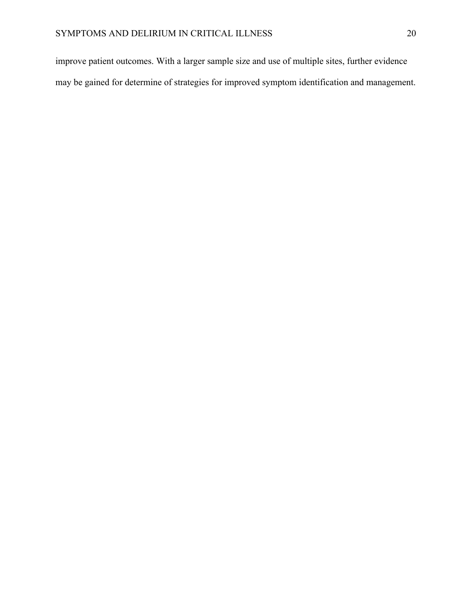improve patient outcomes. With a larger sample size and use of multiple sites, further evidence may be gained for determine of strategies for improved symptom identification and management.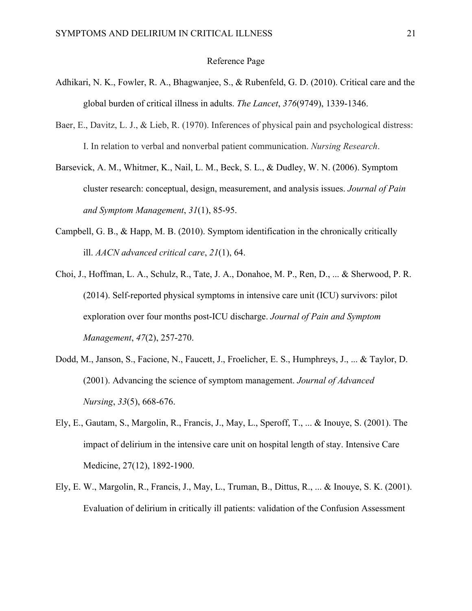#### Reference Page

- Adhikari, N. K., Fowler, R. A., Bhagwanjee, S., & Rubenfeld, G. D. (2010). Critical care and the global burden of critical illness in adults. *The Lancet*, *376*(9749), 1339-1346.
- Baer, E., Davitz, L. J., & Lieb, R. (1970). Inferences of physical pain and psychological distress: I. In relation to verbal and nonverbal patient communication. *Nursing Research*.
- Barsevick, A. M., Whitmer, K., Nail, L. M., Beck, S. L., & Dudley, W. N. (2006). Symptom cluster research: conceptual, design, measurement, and analysis issues. *Journal of Pain and Symptom Management*, *31*(1), 85-95.
- Campbell, G. B., & Happ, M. B. (2010). Symptom identification in the chronically critically ill. *AACN advanced critical care*, *21*(1), 64.
- Choi, J., Hoffman, L. A., Schulz, R., Tate, J. A., Donahoe, M. P., Ren, D., ... & Sherwood, P. R. (2014). Self-reported physical symptoms in intensive care unit (ICU) survivors: pilot exploration over four months post-ICU discharge. *Journal of Pain and Symptom Management*, *47*(2), 257-270.
- Dodd, M., Janson, S., Facione, N., Faucett, J., Froelicher, E. S., Humphreys, J., ... & Taylor, D. (2001). Advancing the science of symptom management. *Journal of Advanced Nursing*, *33*(5), 668-676.
- Ely, E., Gautam, S., Margolin, R., Francis, J., May, L., Speroff, T., ... & Inouye, S. (2001). The impact of delirium in the intensive care unit on hospital length of stay. Intensive Care Medicine, 27(12), 1892-1900.
- Ely, E. W., Margolin, R., Francis, J., May, L., Truman, B., Dittus, R., ... & Inouye, S. K. (2001). Evaluation of delirium in critically ill patients: validation of the Confusion Assessment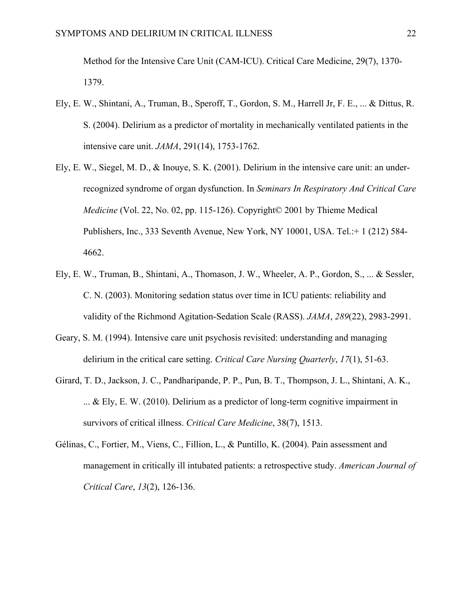Method for the Intensive Care Unit (CAM-ICU). Critical Care Medicine, 29(7), 1370- 1379.

- Ely, E. W., Shintani, A., Truman, B., Speroff, T., Gordon, S. M., Harrell Jr, F. E., ... & Dittus, R. S. (2004). Delirium as a predictor of mortality in mechanically ventilated patients in the intensive care unit. *JAMA*, 291(14), 1753-1762.
- Ely, E. W., Siegel, M. D., & Inouye, S. K. (2001). Delirium in the intensive care unit: an underrecognized syndrome of organ dysfunction. In *Seminars In Respiratory And Critical Care Medicine* (Vol. 22, No. 02, pp. 115-126). Copyright© 2001 by Thieme Medical Publishers, Inc., 333 Seventh Avenue, New York, NY 10001, USA. Tel.:+ 1 (212) 584- 4662.
- Ely, E. W., Truman, B., Shintani, A., Thomason, J. W., Wheeler, A. P., Gordon, S., ... & Sessler, C. N. (2003). Monitoring sedation status over time in ICU patients: reliability and validity of the Richmond Agitation-Sedation Scale (RASS). *JAMA*, *289*(22), 2983-2991.
- Geary, S. M. (1994). Intensive care unit psychosis revisited: understanding and managing delirium in the critical care setting. *Critical Care Nursing Quarterly*, *17*(1), 51-63.
- Girard, T. D., Jackson, J. C., Pandharipande, P. P., Pun, B. T., Thompson, J. L., Shintani, A. K., ... & Ely, E. W. (2010). Delirium as a predictor of long-term cognitive impairment in survivors of critical illness. *Critical Care Medicine*, 38(7), 1513.
- Gélinas, C., Fortier, M., Viens, C., Fillion, L., & Puntillo, K. (2004). Pain assessment and management in critically ill intubated patients: a retrospective study. *American Journal of Critical Care*, *13*(2), 126-136.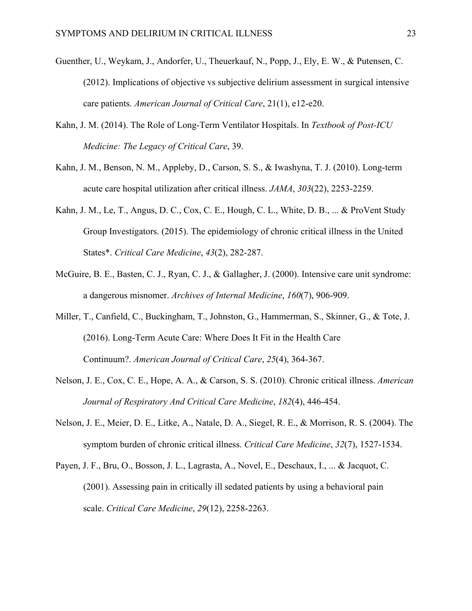- Guenther, U., Weykam, J., Andorfer, U., Theuerkauf, N., Popp, J., Ely, E. W., & Putensen, C. (2012). Implications of objective vs subjective delirium assessment in surgical intensive care patients. *American Journal of Critical Care*, 21(1), e12-e20.
- Kahn, J. M. (2014). The Role of Long-Term Ventilator Hospitals. In *Textbook of Post-ICU Medicine: The Legacy of Critical Care*, 39.
- Kahn, J. M., Benson, N. M., Appleby, D., Carson, S. S., & Iwashyna, T. J. (2010). Long-term acute care hospital utilization after critical illness. *JAMA*, *303*(22), 2253-2259.
- Kahn, J. M., Le, T., Angus, D. C., Cox, C. E., Hough, C. L., White, D. B., ... & ProVent Study Group Investigators. (2015). The epidemiology of chronic critical illness in the United States\*. *Critical Care Medicine*, *43*(2), 282-287.
- McGuire, B. E., Basten, C. J., Ryan, C. J., & Gallagher, J. (2000). Intensive care unit syndrome: a dangerous misnomer. *Archives of Internal Medicine*, *160*(7), 906-909.
- Miller, T., Canfield, C., Buckingham, T., Johnston, G., Hammerman, S., Skinner, G., & Tote, J. (2016). Long-Term Acute Care: Where Does It Fit in the Health Care Continuum?. *American Journal of Critical Care*, *25*(4), 364-367.
- Nelson, J. E., Cox, C. E., Hope, A. A., & Carson, S. S. (2010). Chronic critical illness. *American Journal of Respiratory And Critical Care Medicine*, *182*(4), 446-454.
- Nelson, J. E., Meier, D. E., Litke, A., Natale, D. A., Siegel, R. E., & Morrison, R. S. (2004). The symptom burden of chronic critical illness. *Critical Care Medicine*, *32*(7), 1527-1534.
- Payen, J. F., Bru, O., Bosson, J. L., Lagrasta, A., Novel, E., Deschaux, I., ... & Jacquot, C. (2001). Assessing pain in critically ill sedated patients by using a behavioral pain scale. *Critical Care Medicine*, *29*(12), 2258-2263.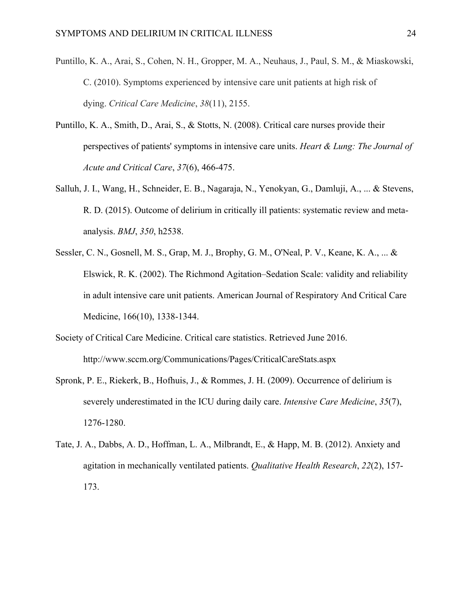- Puntillo, K. A., Arai, S., Cohen, N. H., Gropper, M. A., Neuhaus, J., Paul, S. M., & Miaskowski, C. (2010). Symptoms experienced by intensive care unit patients at high risk of dying. *Critical Care Medicine*, *38*(11), 2155.
- Puntillo, K. A., Smith, D., Arai, S., & Stotts, N. (2008). Critical care nurses provide their perspectives of patients' symptoms in intensive care units. *Heart & Lung: The Journal of Acute and Critical Care*, *37*(6), 466-475.
- Salluh, J. I., Wang, H., Schneider, E. B., Nagaraja, N., Yenokyan, G., Damluji, A., ... & Stevens, R. D. (2015). Outcome of delirium in critically ill patients: systematic review and metaanalysis. *BMJ*, *350*, h2538.
- Sessler, C. N., Gosnell, M. S., Grap, M. J., Brophy, G. M., O'Neal, P. V., Keane, K. A., ... & Elswick, R. K. (2002). The Richmond Agitation–Sedation Scale: validity and reliability in adult intensive care unit patients. American Journal of Respiratory And Critical Care Medicine, 166(10), 1338-1344.
- Society of Critical Care Medicine. Critical care statistics. Retrieved June 2016. http://www.sccm.org/Communications/Pages/CriticalCareStats.aspx
- Spronk, P. E., Riekerk, B., Hofhuis, J., & Rommes, J. H. (2009). Occurrence of delirium is severely underestimated in the ICU during daily care. *Intensive Care Medicine*, *35*(7), 1276-1280.
- Tate, J. A., Dabbs, A. D., Hoffman, L. A., Milbrandt, E., & Happ, M. B. (2012). Anxiety and agitation in mechanically ventilated patients. *Qualitative Health Research*, *22*(2), 157- 173.